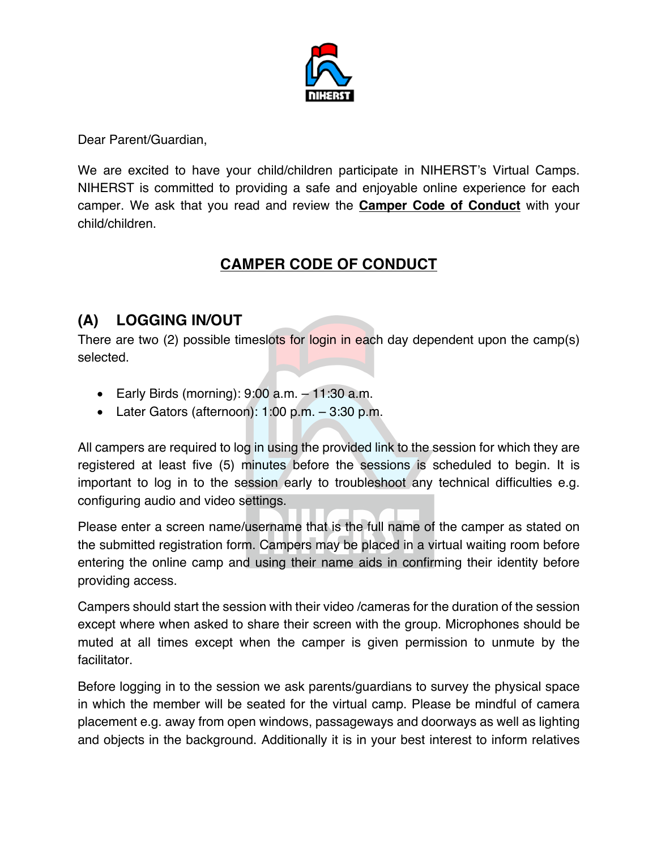

Dear Parent/Guardian,

We are excited to have your child/children participate in NIHERST's Virtual Camps. NIHERST is committed to providing a safe and enjoyable online experience for each camper. We ask that you read and review the **Camper Code of Conduct** with your child/children.

# **CAMPER CODE OF CONDUCT**

## **(A) LOGGING IN/OUT**

There are two (2) possible timeslots for login in each day dependent upon the camp(s) selected.

- Early Birds (morning):  $9:00$  a.m.  $-11:30$  a.m.
- Later Gators (afternoon):  $1:00$  p.m.  $-3:30$  p.m.

All campers are required to log in using the provided link to the session for which they are registered at least five (5) minutes before the sessions is scheduled to begin. It is important to log in to the session early to troubleshoot any technical difficulties e.g. configuring audio and video settings.

Please enter a screen name/username that is the full name of the camper as stated on the submitted registration form. Campers may be placed in a virtual waiting room before entering the online camp and using their name aids in confirming their identity before providing access.

Campers should start the session with their video /cameras for the duration of the session except where when asked to share their screen with the group. Microphones should be muted at all times except when the camper is given permission to unmute by the facilitator.

Before logging in to the session we ask parents/guardians to survey the physical space in which the member will be seated for the virtual camp. Please be mindful of camera placement e.g. away from open windows, passageways and doorways as well as lighting and objects in the background. Additionally it is in your best interest to inform relatives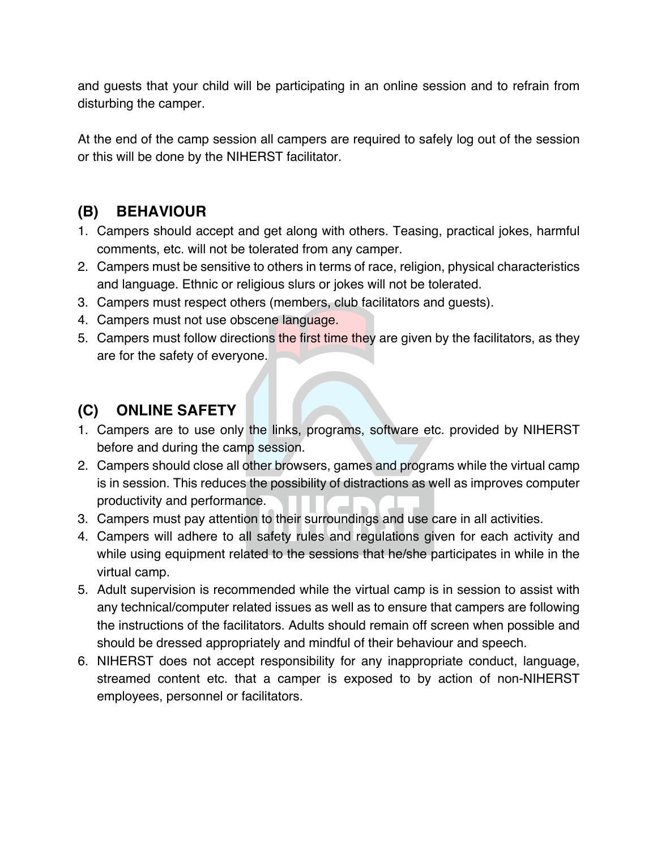and guests that your child will be participating in an online session and to refrain from disturbing the camper.

At the end of the camp session all campers are required to safely log out of the session or this will be done by the NIHERST facilitator.

### **(B) BEHAVIOUR**

- 1. Campers should accept and get along with others. Teasing, practical jokes, harmful comments, etc. will not be tolerated from any camper.
- 2. Campers must be sensitive to others in terms of race, religion, physical characteristics and language. Ethnic or religious slurs or jokes will not be tolerated.
- 3. Campers must respect others (members, club facilitators and guests).
- 4. Campers must not use obscene language.
- 5. Campers must follow directions the first time they are given by the facilitators, as they are for the safety of everyone.

### **(C) ONLINE SAFETY**

- 1. Campers are to use only the links, programs, software etc. provided by NIHERST before and during the camp session.
- 2. Campers should close all other browsers, games and programs while the virtual camp is in session. This reduces the possibility of distractions as well as improves computer productivity and performance.
- 3. Campers must pay attention to their surroundings and use care in all activities.
- 4. Campers will adhere to all safety rules and regulations given for each activity and while using equipment related to the sessions that he/she participates in while in the virtual camp.
- 5. Adult supervision is recommended while the virtual camp is in session to assist with any technical/computer related issues as well as to ensure that campers are following the instructions of the facilitators. Adults should remain off screen when possible and should be dressed appropriately and mindful of their behaviour and speech.
- 6. NIHERST does not accept responsibility for any inappropriate conduct, language, streamed content etc. that a camper is exposed to by action of non-NIHERST employees, personnel or facilitators.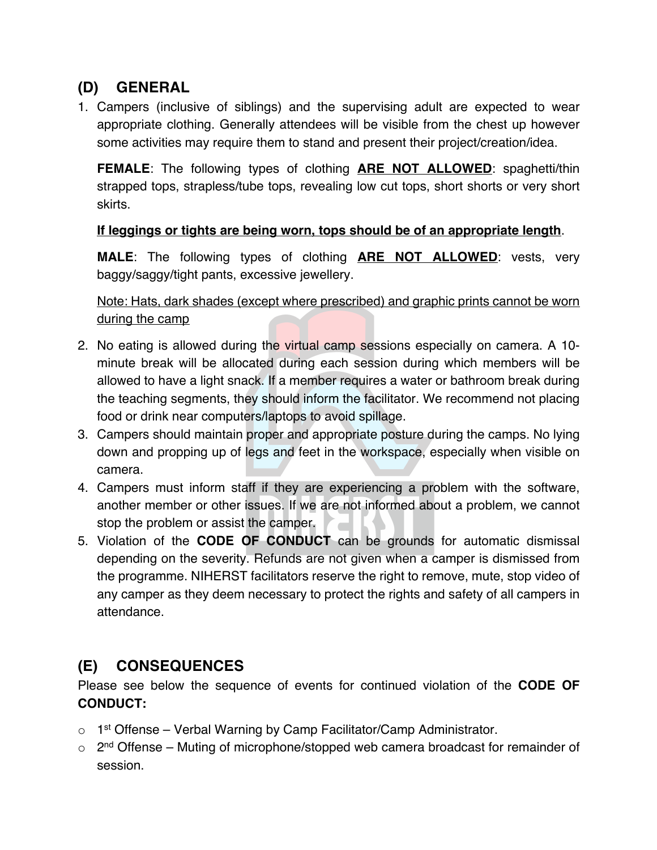# **(D) GENERAL**

1. Campers (inclusive of siblings) and the supervising adult are expected to wear appropriate clothing. Generally attendees will be visible from the chest up however some activities may require them to stand and present their project/creation/idea.

**FEMALE**: The following types of clothing **ARE NOT ALLOWED**: spaghetti/thin strapped tops, strapless/tube tops, revealing low cut tops, short shorts or very short skirts.

#### **If leggings or tights are being worn, tops should be of an appropriate length**.

**MALE**: The following types of clothing **ARE NOT ALLOWED**: vests, very baggy/saggy/tight pants, excessive jewellery.

Note: Hats, dark shades (except where prescribed) and graphic prints cannot be worn during the camp

- 2. No eating is allowed during the virtual camp sessions especially on camera. A 10 minute break will be allocated during each session during which members will be allowed to have a light snack. If a member requires a water or bathroom break during the teaching segments, they should inform the facilitator. We recommend not placing food or drink near computers/laptops to avoid spillage.
- 3. Campers should maintain proper and appropriate posture during the camps. No lying down and propping up of legs and feet in the workspace, especially when visible on camera.
- 4. Campers must inform staff if they are experiencing a problem with the software, another member or other issues. If we are not informed about a problem, we cannot stop the problem or assist the camper.
- 5. Violation of the **CODE OF CONDUCT** can be grounds for automatic dismissal depending on the severity. Refunds are not given when a camper is dismissed from the programme. NIHERST facilitators reserve the right to remove, mute, stop video of any camper as they deem necessary to protect the rights and safety of all campers in attendance.

### **(E) CONSEQUENCES**

Please see below the sequence of events for continued violation of the **CODE OF CONDUCT:**

- $\circ$  1<sup>st</sup> Offense Verbal Warning by Camp Facilitator/Camp Administrator.
- $\circ$  2<sup>nd</sup> Offense Muting of microphone/stopped web camera broadcast for remainder of session.